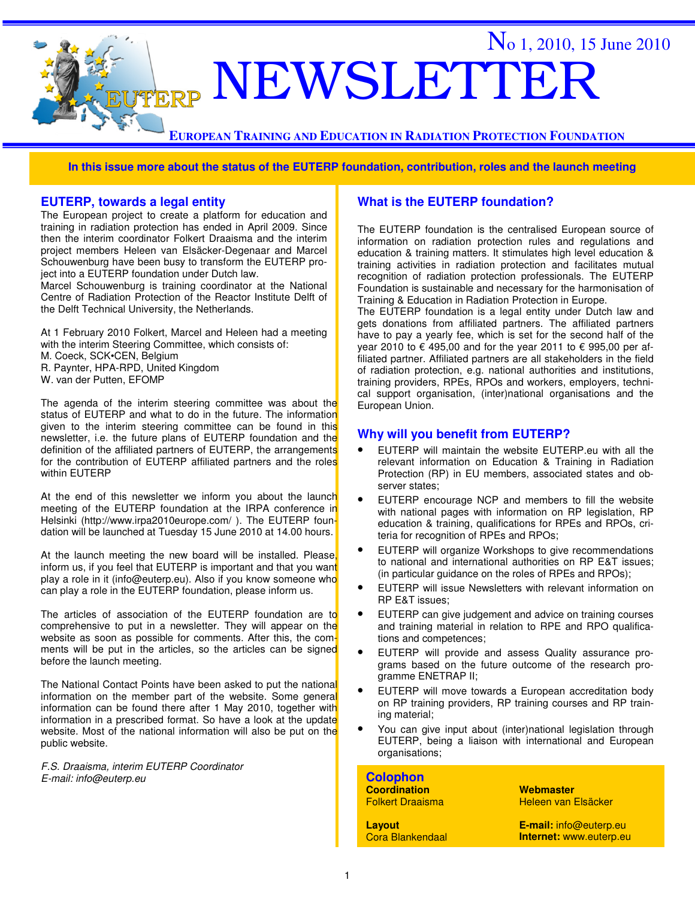

**In this issue more about the status of the EUTERP foundation, contribution, roles and the launch meeting**

#### **EUTERP, towards a legal entity**

The European project to create a platform for education and training in radiation protection has ended in April 2009. Since then the interim coordinator Folkert Draaisma and the interim project members Heleen van Elsäcker-Degenaar and Marcel Schouwenburg have been busy to transform the EUTERP project into a EUTERP foundation under Dutch law.

Marcel Schouwenburg is training coordinator at the National Centre of Radiation Protection of the Reactor Institute Delft of the Delft Technical University, the Netherlands.

At 1 February 2010 Folkert, Marcel and Heleen had a meeting with the interim Steering Committee, which consists of: M. Coeck, SCK•CEN, Belgium R. Paynter, HPA-RPD, United Kingdom W. van der Putten, EFOMP

The agenda of the interim steering committee was about the status of EUTERP and what to do in the future. The information given to the interim steering committee can be found in this newsletter, i.e. the future plans of EUTERP foundation and the definition of the affiliated partners of EUTERP, the arrangements for the contribution of EUTERP affiliated partners and the roles within EUTERP

At the end of this newsletter we inform you about the launch meeting of the EUTERP foundation at the IRPA conference in Helsinki (http://www.irpa2010europe.com/ ). The EUTERP foundation will be launched at Tuesday 15 June 2010 at 14.00 hours.

At the launch meeting the new board will be installed. Please, inform us, if you feel that EUTERP is important and that you want play a role in it (info@euterp.eu). Also if you know someone who can play a role in the EUTERP foundation, please inform us.

The articles of association of the EUTERP foundation are to comprehensive to put in a newsletter. They will appear on the website as soon as possible for comments. After this, the comments will be put in the articles, so the articles can be signed before the launch meeting.

The National Contact Points have been asked to put the national information on the member part of the website. Some general information can be found there after 1 May 2010, together with information in a prescribed format. So have a look at the update website. Most of the national information will also be put on the public website.

F.S. Draaisma, interim EUTERP Coordinator E-mail: info@euterp.eu

#### **What is the EUTERP foundation?**

The EUTERP foundation is the centralised European source of information on radiation protection rules and regulations and education & training matters. It stimulates high level education & training activities in radiation protection and facilitates mutual recognition of radiation protection professionals. The EUTERP Foundation is sustainable and necessary for the harmonisation of Training & Education in Radiation Protection in Europe.

The EUTERP foundation is a legal entity under Dutch law and gets donations from affiliated partners. The affiliated partners have to pay a yearly fee, which is set for the second half of the year 2010 to € 495,00 and for the year 2011 to € 995,00 per affiliated partner. Affiliated partners are all stakeholders in the field of radiation protection, e.g. national authorities and institutions, training providers, RPEs, RPOs and workers, employers, technical support organisation, (inter)national organisations and the European Union.

#### **Why will you benefit from EUTERP?**

- EUTERP will maintain the website EUTERP.eu with all the relevant information on Education & Training in Radiation Protection (RP) in EU members, associated states and observer states;
- EUTERP encourage NCP and members to fill the website with national pages with information on RP legislation, RP education & training, qualifications for RPEs and RPOs, criteria for recognition of RPEs and RPOs;
- EUTERP will organize Workshops to give recommendations to national and international authorities on RP E&T issues; (in particular guidance on the roles of RPEs and RPOs);
- EUTERP will issue Newsletters with relevant information on RP E&T issues;
- EUTERP can give judgement and advice on training courses and training material in relation to RPE and RPO qualifications and competences;
- EUTERP will provide and assess Quality assurance programs based on the future outcome of the research programme ENETRAP II;
- EUTERP will move towards a European accreditation body on RP training providers, RP training courses and RP training material;
- You can give input about (inter)national legislation through EUTERP, being a liaison with international and European organisations;

| <b>Colophon</b><br><b>Coordination</b><br><b>Folkert Draaisma</b> | Webmaster<br>Heleen van Elsäcker |  |
|-------------------------------------------------------------------|----------------------------------|--|
| Layout                                                            | E-mail: info@euterp.eu           |  |
| <b>Cora Blankendaal</b>                                           | Internet: www.euterp.eu          |  |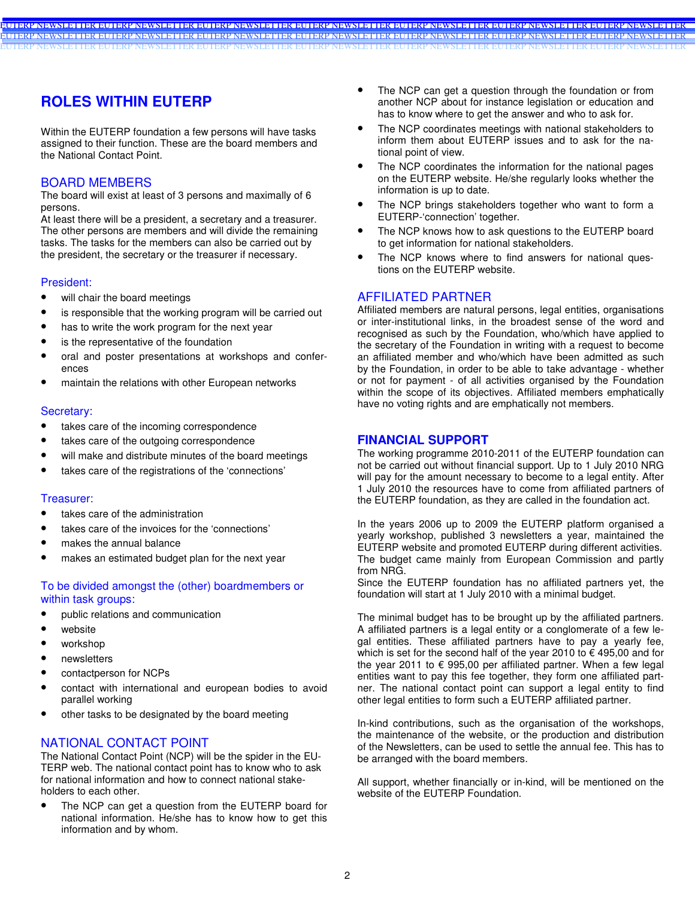### **ROLES WITHIN EUTERP**

Within the EUTERP foundation a few persons will have tasks assigned to their function. These are the board members and the National Contact Point.

#### BOARD MEMBERS

The board will exist at least of 3 persons and maximally of 6 persons.

At least there will be a president, a secretary and a treasurer. The other persons are members and will divide the remaining tasks. The tasks for the members can also be carried out by the president, the secretary or the treasurer if necessary.

#### President:

- will chair the board meetings
- is responsible that the working program will be carried out
- has to write the work program for the next year
- is the representative of the foundation
- oral and poster presentations at workshops and conferences
- maintain the relations with other European networks

#### Secretary:

- takes care of the incoming correspondence
- takes care of the outgoing correspondence
- will make and distribute minutes of the board meetings
- takes care of the registrations of the 'connections'

#### Treasurer:

- takes care of the administration
- takes care of the invoices for the 'connections'
- makes the annual balance
- makes an estimated budget plan for the next year

#### To be divided amongst the (other) boardmembers or within task groups:

- public relations and communication
- website
- workshop
- newsletters
- contactperson for NCPs
- contact with international and european bodies to avoid parallel working
- other tasks to be designated by the board meeting

#### NATIONAL CONTACT POINT

The National Contact Point (NCP) will be the spider in the EU-TERP web. The national contact point has to know who to ask for national information and how to connect national stakeholders to each other.

The NCP can get a question from the EUTERP board for national information. He/she has to know how to get this information and by whom.

- The NCP can get a question through the foundation or from another NCP about for instance legislation or education and has to know where to get the answer and who to ask for.
- The NCP coordinates meetings with national stakeholders to inform them about EUTERP issues and to ask for the national point of view.
- The NCP coordinates the information for the national pages on the EUTERP website. He/she regularly looks whether the information is up to date.
- The NCP brings stakeholders together who want to form a EUTERP-'connection' together.
- The NCP knows how to ask questions to the EUTERP board to get information for national stakeholders.
- The NCP knows where to find answers for national questions on the EUTERP website.

#### AFFILIATED PARTNER

EUTERP NEWSLETTER EUTERP NEWSLETTER EUTERP NEWSLETTER EUTERP NEWSLETTER EUTERP NEWSLETTER EUTERP NEWSLETTER EUTERP NEWSLETTER EUTERP NEWSLETTER EUTERP NEWSLETTER EUTERP NEWSLETTER EUTERP NEWSLETTER EUTERP NEWSLETTER EUTERP NEWSLETTER EUTERP NEWSLETTER EUTERP NEWSLETTER EUTERP NEWSLETTER EUTERP NEWSLETTER EUTERP NEWSLETTER EUTERP NEWSLETTER EUTERP NEWSLETTER EUTERP NEWSLETTER

> Affiliated members are natural persons, legal entities, organisations or inter-institutional links, in the broadest sense of the word and recognised as such by the Foundation, who/which have applied to the secretary of the Foundation in writing with a request to become an affiliated member and who/which have been admitted as such by the Foundation, in order to be able to take advantage - whether or not for payment - of all activities organised by the Foundation within the scope of its objectives. Affiliated members emphatically have no voting rights and are emphatically not members.

#### **FINANCIAL SUPPORT**

The working programme 2010-2011 of the EUTERP foundation can not be carried out without financial support. Up to 1 July 2010 NRG will pay for the amount necessary to become to a legal entity. After 1 July 2010 the resources have to come from affiliated partners of the EUTERP foundation, as they are called in the foundation act.

In the years 2006 up to 2009 the EUTERP platform organised a yearly workshop, published 3 newsletters a year, maintained the EUTERP website and promoted EUTERP during different activities. The budget came mainly from European Commission and partly from NRG.

Since the EUTERP foundation has no affiliated partners yet, the foundation will start at 1 July 2010 with a minimal budget.

The minimal budget has to be brought up by the affiliated partners. A affiliated partners is a legal entity or a conglomerate of a few legal entities. These affiliated partners have to pay a yearly fee, which is set for the second half of the year 2010 to  $\epsilon$  495,00 and for the year 2011 to  $\epsilon$  995,00 per affiliated partner. When a few legal entities want to pay this fee together, they form one affiliated partner. The national contact point can support a legal entity to find other legal entities to form such a EUTERP affiliated partner.

In-kind contributions, such as the organisation of the workshops, the maintenance of the website, or the production and distribution of the Newsletters, can be used to settle the annual fee. This has to be arranged with the board members.

All support, whether financially or in-kind, will be mentioned on the website of the EUTERP Foundation.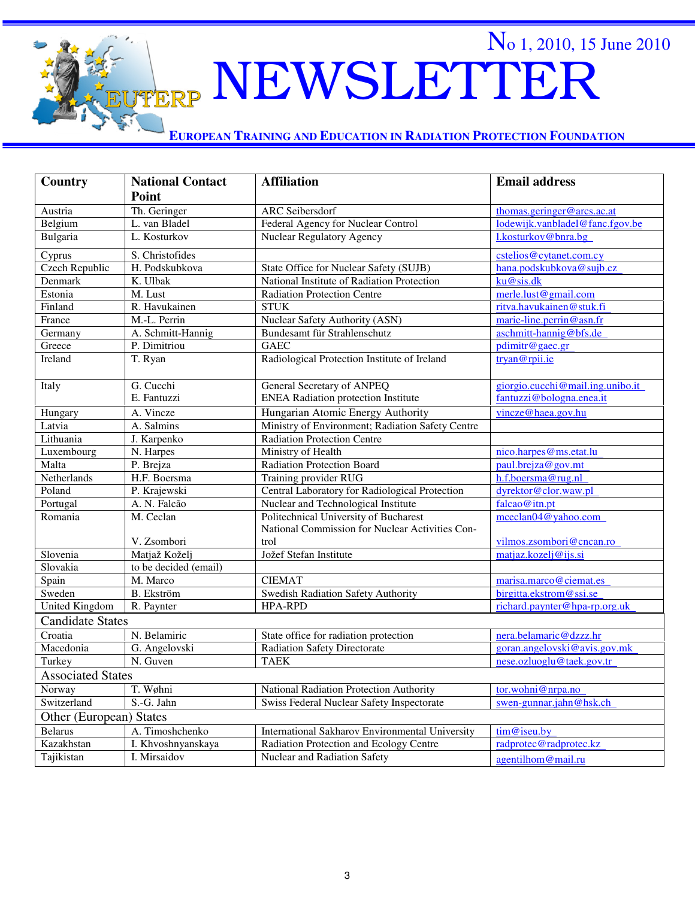# NEWSLETTER

No 1, 2010, 15 June 2010

**EUROPEAN TRAINING AND EDUCATION IN RADIATION PROTECTION FOUNDATION**

FERP

| Country                  | <b>National Contact</b> | <b>Affiliation</b>                               | <b>Email address</b>             |  |
|--------------------------|-------------------------|--------------------------------------------------|----------------------------------|--|
|                          | Point                   |                                                  |                                  |  |
| Austria                  | Th. Geringer            | <b>ARC</b> Seibersdorf                           | thomas.geringer@arcs.ac.at       |  |
| Belgium                  | L. van Bladel           | Federal Agency for Nuclear Control               | lodewijk.vanbladel@fanc.fgov.be  |  |
| Bulgaria                 | L. Kosturkov            | <b>Nuclear Regulatory Agency</b>                 | l.kosturkov@bnra.bg              |  |
| Cyprus                   | S. Christofides         |                                                  | cstelios@cytanet.com.cy          |  |
| <b>Czech Republic</b>    | H. Podskubkova          | State Office for Nuclear Safety (SUJB)           | hana.podskubkova@sujb.cz         |  |
| Denmark                  | K. Ulbak                | National Institute of Radiation Protection       | ku@sis.dk                        |  |
| Estonia                  | M. Lust                 | <b>Radiation Protection Centre</b>               | merle.lust@gmail.com             |  |
| Finland                  | R. Havukainen           | <b>STUK</b>                                      | ritva.havukainen@stuk.fi         |  |
| France                   | M.-L. Perrin            | Nuclear Safety Authority (ASN)                   | marie-line.perrin@asn.fr         |  |
| Germany                  | A. Schmitt-Hannig       | Bundesamt für Strahlenschutz                     | aschmitt-hannig@bfs.de           |  |
| Greece                   | P. Dimitriou            | <b>GAEC</b>                                      | pdimitr@gaec.gr                  |  |
| Ireland                  | T. Ryan                 | Radiological Protection Institute of Ireland     | tryan@rpii.ie                    |  |
| Italy                    | G. Cucchi               | General Secretary of ANPEQ                       | giorgio.cucchi@mail.ing.unibo.it |  |
|                          | E. Fantuzzi             | <b>ENEA Radiation protection Institute</b>       | fantuzzi@bologna.enea.it         |  |
| Hungary                  | A. Vincze               | Hungarian Atomic Energy Authority                | vincze@haea.gov.hu               |  |
| Latvia                   | A. Salmins              | Ministry of Environment; Radiation Safety Centre |                                  |  |
| Lithuania                | J. Karpenko             | Radiation Protection Centre                      |                                  |  |
| Luxembourg               | N. Harpes               | Ministry of Health                               | nico.harpes@ms.etat.lu           |  |
| Malta                    | P. Brejza               | Radiation Protection Board                       | paul.brejza@gov.mt               |  |
| Netherlands              | H.F. Boersma            | Training provider RUG                            | h.f.boersma@rug.nl               |  |
| Poland                   | P. Krajewski            | Central Laboratory for Radiological Protection   | dyrektor@clor.waw.pl             |  |
| Portugal                 | A. N. Falcão            | Nuclear and Technological Institute              | falcao@itn.pt                    |  |
| Romania                  | M. Ceclan               | Politechnical University of Bucharest            | meelan04@yahoo.com               |  |
|                          |                         | National Commission for Nuclear Activities Con-  |                                  |  |
|                          | V. Zsombori             | trol                                             | vilmos.zsombori@cncan.ro         |  |
| Slovenia                 | Matjaž Koželj           | Jožef Stefan Institute                           | matjaz.kozelj@ijs.si             |  |
| Slovakia                 | to be decided (email)   |                                                  |                                  |  |
| Spain                    | M. Marco                | <b>CIEMAT</b>                                    | marisa.marco@ciemat.es           |  |
| Sweden                   | <b>B.</b> Ekström       | Swedish Radiation Safety Authority               | birgitta.ekstrom@ssi.se          |  |
| <b>United Kingdom</b>    | R. Paynter              | <b>HPA-RPD</b>                                   | richard.paynter@hpa-rp.org.uk    |  |
| <b>Candidate States</b>  |                         |                                                  |                                  |  |
| Croatia                  | N. Belamiric            | State office for radiation protection            | nera.belamaric@dzzz.hr           |  |
| Macedonia                | G. Angelovski           | <b>Radiation Safety Directorate</b>              | goran.angelovski@avis.gov.mk     |  |
| Turkey                   | N. Guven                | <b>TAEK</b>                                      | nese.ozluoglu@taek.gov.tr        |  |
| <b>Associated States</b> |                         |                                                  |                                  |  |
| Norway                   | T. Wøhni                | National Radiation Protection Authority          | tor.wohni@nrpa.no                |  |
| Switzerland              | S.-G. Jahn              | Swiss Federal Nuclear Safety Inspectorate        | swen-gunnar.jahn@hsk.ch          |  |
| Other (European) States  |                         |                                                  |                                  |  |
| Belarus                  | A. Timoshchenko         | International Sakharov Environmental University  | tim@iseu.by                      |  |
| Kazakhstan               | I. Khvoshnyanskaya      | Radiation Protection and Ecology Centre          | radprotec@radprotec.kz           |  |
| Tajikistan               | I. Mirsaidov            | Nuclear and Radiation Safety                     | agentilhom@mail.ru               |  |